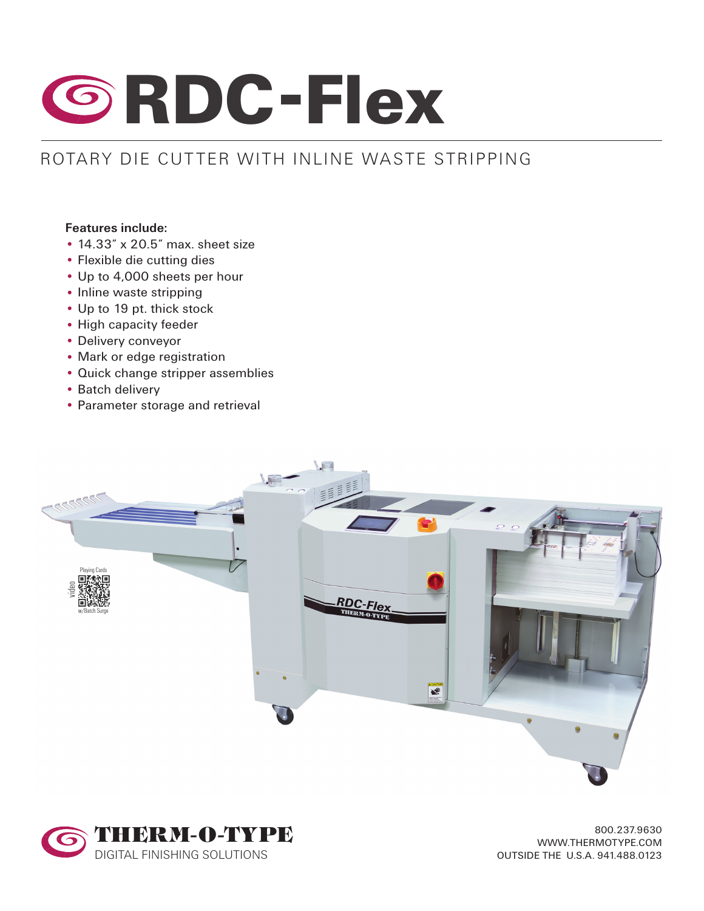

## ROTARY DIE CUTTER WITH INLINE WASTE STRIPPING

## **Features include:**

- 14.33" x 20.5" max. sheet size
- Flexible die cutting dies
- Up to 4,000 sheets per hour
- Inline waste stripping
- Up to 19 pt. thick stock
- High capacity feeder
- Delivery conveyor
- Mark or edge registration
- Quick change stripper assemblies
- Batch delivery
- Parameter storage and retrieval





800.237.9630 WWW.THERMOTYPE.COM OUTSIDE THE U.S.A. 941.488.0123